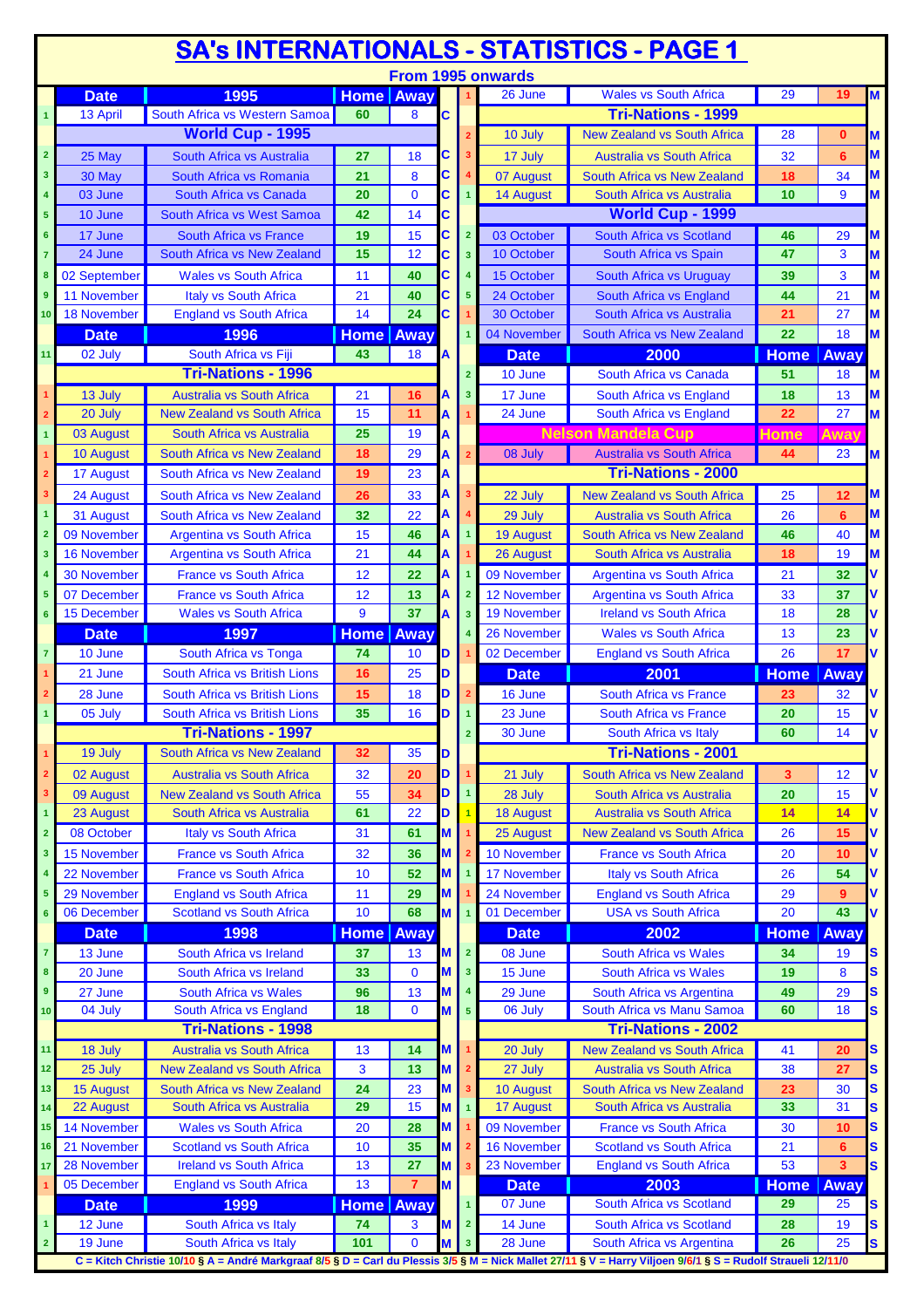|                         | <b>SA's INTERNATIONALS - STATISTICS - PAGE 1</b> |                                    |                  |                |   |                         |                    |                                                                                                                                                                                           |                    |              |    |  |
|-------------------------|--------------------------------------------------|------------------------------------|------------------|----------------|---|-------------------------|--------------------|-------------------------------------------------------------------------------------------------------------------------------------------------------------------------------------------|--------------------|--------------|----|--|
|                         |                                                  |                                    |                  |                |   |                         | From 1995 onwards  |                                                                                                                                                                                           |                    |              |    |  |
|                         | <b>Date</b>                                      | 1995                               | <b>Home Away</b> |                |   |                         | 26 June            | <b>Wales vs South Africa</b>                                                                                                                                                              | 29                 | 19           | M  |  |
| $\blacktriangleleft$    | 13 April                                         | South Africa vs Western Samoa      | 60               | 8              | C |                         |                    | <b>Tri-Nations - 1999</b>                                                                                                                                                                 |                    |              |    |  |
|                         |                                                  | <b>World Cup - 1995</b>            |                  |                |   |                         | 10 July            | <b>New Zealand vs South Africa</b>                                                                                                                                                        | 28                 | $\mathbf{0}$ | M  |  |
| $\overline{\mathbf{2}}$ | 25 May                                           | South Africa vs Australia          | 27               | 18             | С |                         | 17 July            | <b>Australia vs South Africa</b>                                                                                                                                                          | 32                 | 6            | M  |  |
| 3                       | 30 May                                           | South Africa vs Romania            | 21               | 8              | C |                         | 07 August          | South Africa vs New Zealand                                                                                                                                                               | 18                 | 34           | M  |  |
| 4                       | 03 June                                          | South Africa vs Canada             | 20               | $\mathbf 0$    | C |                         | 14 August          | South Africa vs Australia                                                                                                                                                                 | 10                 | 9            | M  |  |
| 5                       | 10 June                                          | South Africa vs West Samoa         | 42               | 14             | C |                         |                    | World Cup - 1999                                                                                                                                                                          |                    |              |    |  |
| 6                       | 17 June                                          | South Africa vs France             | 19               | 15             | C | $\overline{2}$          | 03 October         | South Africa vs Scotland                                                                                                                                                                  | 46                 | 29           | M  |  |
| $\overline{7}$          | 24 June                                          | South Africa vs New Zealand        | 15               | 12             | C | $\overline{\mathbf{3}}$ | 10 October         | South Africa vs Spain                                                                                                                                                                     | 47                 | 3            | M  |  |
| 8                       | 02 September                                     | <b>Wales vs South Africa</b>       | 11               | 40             | C |                         | 15 October         | South Africa vs Uruguay                                                                                                                                                                   | 39                 | 3            | M  |  |
| 9                       | 11 November                                      | <b>Italy vs South Africa</b>       | 21               | 40             | C | $5\phantom{1}$          | 24 October         | South Africa vs England                                                                                                                                                                   | 44                 | 21           | M  |  |
| 10                      | 18 November                                      | <b>England vs South Africa</b>     | 14               | 24             | C |                         | 30 October         | South Africa vs Australia                                                                                                                                                                 | 21                 | 27           | M  |  |
|                         | <b>Date</b>                                      | 1996                               | <b>Home Away</b> |                |   |                         | 04 November        | South Africa vs New Zealand                                                                                                                                                               | 22                 | 18           | M  |  |
| 11                      | 02 July                                          | South Africa vs Fiji               | 43               | 18             | A |                         | <b>Date</b>        | 2000                                                                                                                                                                                      | <b>Home</b>        | <b>Away</b>  |    |  |
|                         |                                                  | <b>Tri-Nations - 1996</b>          |                  |                |   | $\overline{2}$          | 10 June            | South Africa vs Canada                                                                                                                                                                    | 51                 | 18           | M  |  |
| 1                       | 13 July                                          | <b>Australia vs South Africa</b>   | 21               | 16             | Α | 3                       | 17 June            | South Africa vs England                                                                                                                                                                   | 18                 | 13           | M  |  |
| $\overline{2}$          | 20 July                                          | <b>New Zealand vs South Africa</b> | 15               | 11             | A |                         | 24 June            | South Africa vs England                                                                                                                                                                   | 22                 | 27           | M  |  |
| 1                       | 03 August                                        | South Africa vs Australia          | 25               | 19             |   |                         |                    | <b>Nelson Mandela Cup</b>                                                                                                                                                                 | <b>Home</b>        | <b>Away</b>  |    |  |
| 1                       | 10 August                                        | South Africa vs New Zealand        | 18               | 29             | А |                         | 08 July            | <b>Australia vs South Africa</b>                                                                                                                                                          | 44                 | 23           | M  |  |
| $\overline{2}$          | 17 August                                        | South Africa vs New Zealand        | 19               | 23             | А |                         |                    | <b>Tri-Nations - 2000</b>                                                                                                                                                                 |                    |              |    |  |
| 3                       | 24 August                                        | South Africa vs New Zealand        | 26               | 33             | A |                         | 22 July            | <b>New Zealand vs South Africa</b>                                                                                                                                                        | 25                 | 12           | M  |  |
| $\mathbf{1}$            | 31 August                                        | South Africa vs New Zealand        | 32               | 22             | А |                         | 29 July            | <b>Australia vs South Africa</b>                                                                                                                                                          | 26                 | 6            | M  |  |
| $\overline{2}$          | 09 November                                      | <b>Argentina vs South Africa</b>   | 15               | 46             | Α |                         | <b>19 August</b>   | South Africa vs New Zealand                                                                                                                                                               | 46                 | 40           | M  |  |
| 3                       | <b>16 November</b>                               | <b>Argentina vs South Africa</b>   | 21               | 44             | А |                         | 26 August          | South Africa vs Australia                                                                                                                                                                 | 18                 | 19           | M  |  |
|                         | 30 November                                      | <b>France vs South Africa</b>      | 12               | 22             | Α |                         | 09 November        | <b>Argentina vs South Africa</b>                                                                                                                                                          | 21                 | 32           |    |  |
| 5                       | 07 December                                      | <b>France vs South Africa</b>      | 12               | 13             | А |                         | 12 November        | <b>Argentina vs South Africa</b>                                                                                                                                                          | 33                 | 37           |    |  |
| 6                       | 15 December                                      | <b>Wales vs South Africa</b>       | 9                | 37             | А | 3                       | 19 November        | <b>Ireland vs South Africa</b>                                                                                                                                                            | 18                 | 28           |    |  |
|                         | <b>Date</b>                                      | 1997                               | <b>Home</b> Away |                |   |                         | 26 November        | <b>Wales vs South Africa</b>                                                                                                                                                              | 13                 | 23           |    |  |
| $\overline{7}$          | 10 June                                          |                                    |                  |                |   |                         |                    |                                                                                                                                                                                           |                    |              |    |  |
|                         |                                                  | South Africa vs Tonga              | 74               | 10             | D |                         | 02 December        | <b>England vs South Africa</b>                                                                                                                                                            | 26                 | 17           | V  |  |
|                         | 21 June                                          | South Africa vs British Lions      | 16               | 25             | D |                         | <b>Date</b>        | 2001                                                                                                                                                                                      | <b>Home</b>        | Away         |    |  |
|                         | 28 June                                          | South Africa vs British Lions      | 15               | 18             | D |                         | 16 June            | South Africa vs France                                                                                                                                                                    | 23                 | 32           |    |  |
| $\mathbf{1}$            | 05 July                                          | South Africa vs British Lions      | 35               | 16             | D |                         | 23 June            | <b>South Africa vs France</b>                                                                                                                                                             | 20                 | 15           |    |  |
|                         |                                                  | <b>Tri-Nations - 1997</b>          |                  |                |   |                         | 30 June            | South Africa vs Italy                                                                                                                                                                     | 60                 | 14           |    |  |
| $\overline{1}$          | 19 July                                          | South Africa vs New Zealand        | 32               | 35             | D |                         |                    | <b>Tri-Nations - 2001</b>                                                                                                                                                                 |                    |              |    |  |
| 2                       | 02 August                                        | <b>Australia vs South Africa</b>   | 32               | 20             | D |                         | 21 July            | <b>South Africa vs New Zealand</b>                                                                                                                                                        | 3                  | 12           | v  |  |
| 3                       | 09 August                                        | <b>New Zealand vs South Africa</b> | 55               | 34             | D |                         | 28 July            | South Africa vs Australia                                                                                                                                                                 | 20                 | 15           | ٧  |  |
| $\mathbf{1}$            | 23 August                                        | South Africa vs Australia          | 61               | 22             | D |                         | <b>18 August</b>   | <b>Australia vs South Africa</b>                                                                                                                                                          | 14                 | 14           | V  |  |
| $\overline{2}$          | 08 October                                       | Italy vs South Africa              | 31               | 61             | M |                         | 25 August          | <b>New Zealand vs South Africa</b>                                                                                                                                                        | 26                 | 15           | V  |  |
| 3                       | 15 November                                      | <b>France vs South Africa</b>      | 32               | 36             | M |                         | 10 November        | <b>France vs South Africa</b>                                                                                                                                                             | 20                 | 10           | ۷  |  |
|                         | 22 November                                      | <b>France vs South Africa</b>      | 10               | 52             | M |                         | 17 November        | Italy vs South Africa                                                                                                                                                                     | 26                 | 54           |    |  |
| 5                       | 29 November                                      | <b>England vs South Africa</b>     | 11               | 29             | M |                         | 24 November        | <b>England vs South Africa</b>                                                                                                                                                            | 29                 | 9            | ۷  |  |
| 6                       | 06 December                                      | <b>Scotland vs South Africa</b>    | 10               | 68             | M |                         | 01 December        | <b>USA vs South Africa</b>                                                                                                                                                                | 20                 | 43           | V  |  |
|                         | <b>Date</b>                                      | 1998                               | <b>Home</b> Away |                |   |                         | <b>Date</b>        | 2002                                                                                                                                                                                      | <b>Home</b>        | Away         |    |  |
| $\overline{\textbf{7}}$ | 13 June                                          | South Africa vs Ireland            | 37               | 13             | M | $\overline{2}$          | 08 June            | <b>South Africa vs Wales</b>                                                                                                                                                              | 34                 | 19           | S  |  |
| 8                       | 20 June                                          | South Africa vs Ireland            | 33               | $\bf{0}$       | M | $\overline{\mathbf{3}}$ | 15 June            | <b>South Africa vs Wales</b>                                                                                                                                                              | 19                 | 8            | S  |  |
| 9                       | 27 June                                          | <b>South Africa vs Wales</b>       | 96               | 13             | M |                         | 29 June            | South Africa vs Argentina                                                                                                                                                                 | 49                 | 29           | S  |  |
| 10                      | 04 July                                          | South Africa vs England            | 18               | $\mathbf 0$    | M | 5 <sup>5</sup>          | 06 July            | South Africa vs Manu Samoa                                                                                                                                                                | 60                 | 18           | S  |  |
|                         |                                                  | <b>Tri-Nations - 1998</b>          |                  |                |   |                         |                    | <b>Tri-Nations - 2002</b>                                                                                                                                                                 |                    |              |    |  |
| 11                      | 18 July                                          | <b>Australia vs South Africa</b>   | 13               | 14             | M |                         | 20 July            | <b>New Zealand vs South Africa</b>                                                                                                                                                        | 41                 | 20           | S  |  |
| 12                      | 25 July                                          | <b>New Zealand vs South Africa</b> | 3                | 13             | M |                         | 27 July            | <b>Australia vs South Africa</b>                                                                                                                                                          | 38                 | 27           | S  |  |
| 13                      | 15 August                                        | South Africa vs New Zealand        | 24               | 23             | M | 3                       | 10 August          | South Africa vs New Zealand                                                                                                                                                               | 23                 | 30           | S  |  |
| 14                      | 22 August                                        | South Africa vs Australia          | 29               | 15             | M |                         | 17 August          | South Africa vs Australia                                                                                                                                                                 | 33                 | 31           | S  |  |
| 15                      | 14 November                                      | <b>Wales vs South Africa</b>       | 20               | 28             | M |                         | 09 November        | <b>France vs South Africa</b>                                                                                                                                                             | 30                 | 10           | S  |  |
| 16                      | 21 November                                      | <b>Scotland vs South Africa</b>    | 10               | 35             | M |                         | <b>16 November</b> | <b>Scotland vs South Africa</b>                                                                                                                                                           | 21                 | 6            | S  |  |
| 17                      | 28 November                                      | <b>Ireland vs South Africa</b>     | 13               | 27             | м |                         | 23 November        | <b>England vs South Africa</b>                                                                                                                                                            | 53                 | 3            | S  |  |
| 1                       | 05 December                                      | <b>England vs South Africa</b>     | 13               | $\overline{7}$ | M |                         | <b>Date</b>        | 2003                                                                                                                                                                                      | <b>Home   Away</b> |              |    |  |
|                         | <b>Date</b>                                      | 1999                               | <b>Home Away</b> |                |   | $\overline{1}$          | 07 June            | South Africa vs Scotland                                                                                                                                                                  | 29                 | 25           | S  |  |
| $\mathbf{1}$            | 12 June                                          | South Africa vs Italy              | 74               | 3              | M | $\overline{2}$          | 14 June            | South Africa vs Scotland                                                                                                                                                                  | 28                 | 19           | S  |  |
| $\overline{2}$          | 19 June                                          | South Africa vs Italy              | 101              | $\mathbf 0$    | M | 3 <sup>2</sup>          | 28 June            | South Africa vs Argentina<br>C = Kitch Christie 10/10 § A = André Markgraaf 8/5 § D = Carl du Plessis 3/5 § M = Nick Mallet 27/11 § V = Harry Viljoen 9/6/1 § S = Rudolf Straueli 12/11/0 | 26                 | 25           | S. |  |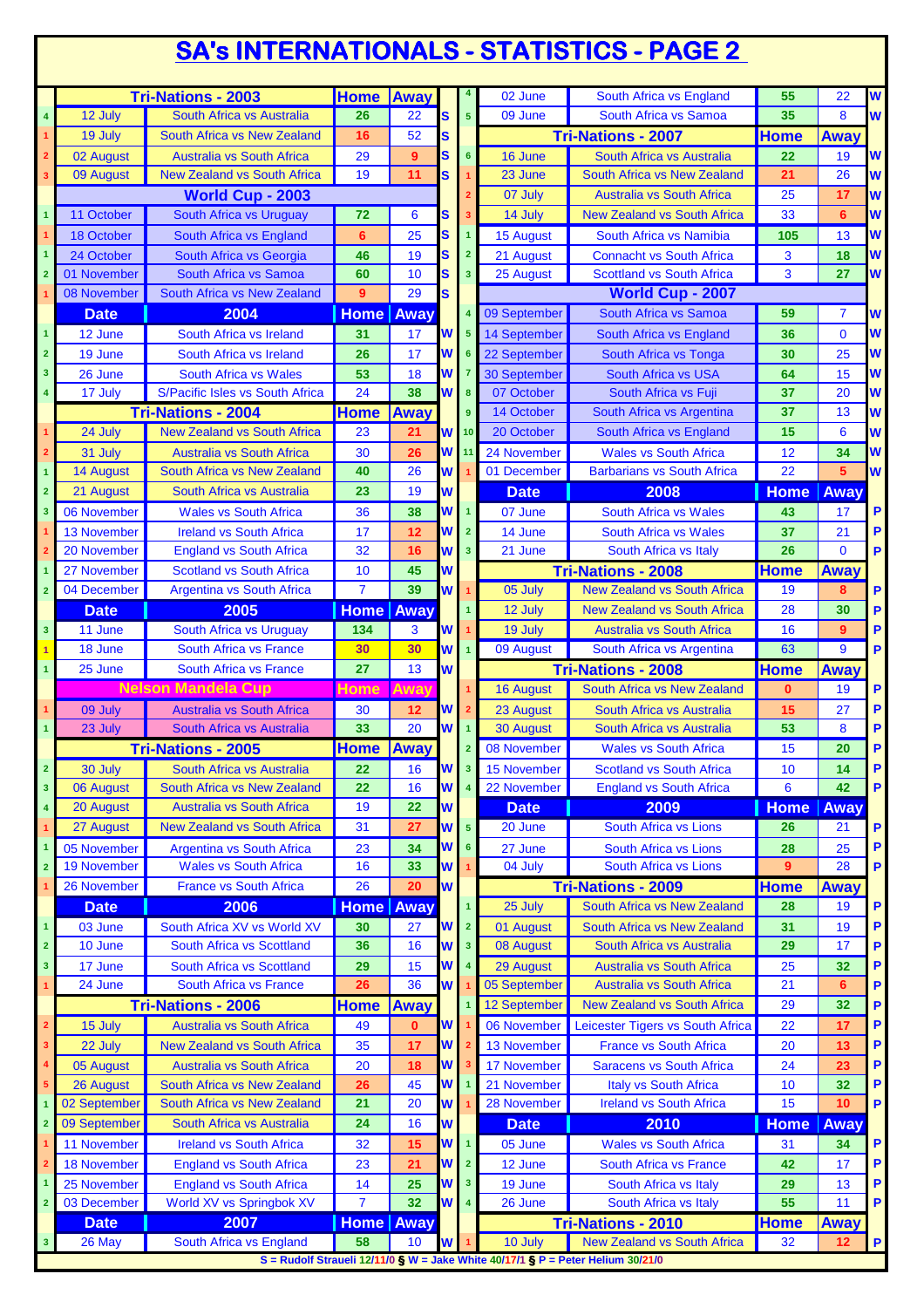## **SA's INTERNATIONALS - STATISTICS - PAGE 2**

|                         |                    | <b>Tri-Nations - 2003</b>          | <b>Home Away</b>   |                |          |                         | 02 June             | South Africa vs England                                                         | 55          | 22             | W           |
|-------------------------|--------------------|------------------------------------|--------------------|----------------|----------|-------------------------|---------------------|---------------------------------------------------------------------------------|-------------|----------------|-------------|
| $\overline{\mathbf{4}}$ | 12 July            | South Africa vs Australia          | 26                 | 22             | S        | 5                       | 09 June             | South Africa vs Samoa                                                           | 35          | 8              | W           |
| $\overline{1}$          | 19 July            | South Africa vs New Zealand        | 16                 | 52             | S        |                         |                     | <b>Tri-Nations - 2007</b>                                                       | <b>Home</b> | <b>Away</b>    |             |
| $\overline{\mathbf{2}}$ | 02 August          | <b>Australia vs South Africa</b>   | 29                 | 9 <sup>°</sup> | S        | 6                       | 16 June             | South Africa vs Australia                                                       | 22          | 19             | W           |
| 3                       | 09 August          | <b>New Zealand vs South Africa</b> | 19                 | 11             | S.       |                         | 23 June             | South Africa vs New Zealand                                                     | 21          | 26             | W           |
|                         |                    | World Cup - 2003                   |                    |                |          |                         | 07 July             | <b>Australia vs South Africa</b>                                                | 25          | 17             | W           |
| $\overline{\mathbf{1}}$ | 11 October         | South Africa vs Uruguay            | 72                 | 6              | S        |                         | 14 July             | <b>New Zealand vs South Africa</b>                                              | 33          | 6              | W           |
|                         | 18 October         | South Africa vs England            | 6                  | 25             | S        | 1                       | <b>15 August</b>    | South Africa vs Namibia                                                         | 105         | 13             | W           |
| $\overline{1}$          | 24 October         | South Africa vs Georgia            | 46                 | 19             | S        | $\overline{2}$          | 21 August           | <b>Connacht vs South Africa</b>                                                 | 3           | 18             | W           |
| $\overline{2}$          | 01 November        | South Africa vs Samoa              | 60                 | 10             | S        | 3 <sup>2</sup>          | 25 August           | <b>Scottland vs South Africa</b>                                                | 3           | 27             | W           |
|                         | 08 November        | South Africa vs New Zealand        | 9                  | 29             | S        |                         |                     | <b>World Cup - 2007</b>                                                         |             |                |             |
|                         | <b>Date</b>        | 2004                               | <b>Home Away</b>   |                |          |                         | 09 September        | South Africa vs Samoa                                                           | 59          | 7              | W           |
| $\overline{1}$          | 12 June            | South Africa vs Ireland            | 31                 | 17             | W        | 5                       | 14 September        | South Africa vs England                                                         | 36          | $\mathbf{0}$   | W           |
| $\overline{\mathbf{2}}$ | 19 June            | South Africa vs Ireland            | 26                 | 17             | W        | 6                       | 22 September        | South Africa vs Tonga                                                           | 30          | 25             | W           |
| $\overline{\mathbf{3}}$ | 26 June            | <b>South Africa vs Wales</b>       | 53                 | 18             | W        |                         | <b>30 September</b> | <b>South Africa vs USA</b>                                                      | 64          | 15             | W           |
| $\overline{\mathbf{4}}$ | 17 July            | S/Pacific Isles vs South Africa    | 24                 | 38             | W        | 8                       | 07 October          | South Africa vs Fuji                                                            | 37          | 20             | W           |
|                         |                    | <b>Tri-Nations - 2004</b>          | <b>Home</b>        | <b>Away</b>    |          | 9                       | 14 October          | South Africa vs Argentina                                                       | 37          | 13             | W           |
|                         | 24 July            | <b>New Zealand vs South Africa</b> | 23                 | 21             | W        | 10                      | 20 October          | South Africa vs England                                                         | 15          | 6              | W           |
| $\overline{2}$          | 31 July            | <b>Australia vs South Africa</b>   | 30                 | 26             | W        | 11                      | 24 November         | <b>Wales vs South Africa</b>                                                    | 12          | 34             | W           |
| $\mathbf{1}$            | 14 August          | South Africa vs New Zealand        | 40                 | 26             | W        |                         | 01 December         | <b>Barbarians vs South Africa</b>                                               | 22          | 5              | W           |
| $\overline{2}$          | 21 August          | South Africa vs Australia          | 23                 | 19             | W        |                         | <b>Date</b>         | 2008                                                                            |             | Away           |             |
| 3                       |                    |                                    |                    |                | W        |                         |                     |                                                                                 | <b>Home</b> |                | P           |
|                         | 06 November        | <b>Wales vs South Africa</b>       | 36                 | 38             |          |                         | 07 June             | South Africa vs Wales                                                           | 43          | 17             |             |
|                         | <b>13 November</b> | <b>Ireland vs South Africa</b>     | 17<br>32           | 12             | W        | $\overline{2}$          | 14 June             | <b>South Africa vs Wales</b>                                                    | 37<br>26    | 21<br>$\Omega$ | P           |
| $\overline{2}$          | 20 November        | <b>England vs South Africa</b>     |                    | 16             | W        | $\overline{\mathbf{3}}$ | 21 June             | South Africa vs Italy                                                           |             |                | P           |
| 1                       | 27 November        | <b>Scotland vs South Africa</b>    | 10                 | 45             | W        |                         |                     | <b>Tri-Nations - 2008</b>                                                       | Home        | <b>Away</b>    |             |
| $\overline{2}$          | 04 December        | <b>Argentina vs South Africa</b>   | $\overline{7}$     | 39             | W        |                         | 05 July             | <b>New Zealand vs South Africa</b>                                              | 19          | 8              | P           |
|                         | <b>Date</b>        | 2005                               | <b>Home Away</b>   |                |          |                         | 12 July             | <b>New Zealand vs South Africa</b>                                              | 28          | 30             | P           |
| $\overline{\mathbf{3}}$ | 11 June            | South Africa vs Uruguay            | 134                | 3              | W        |                         | 19 July             | <b>Australia vs South Africa</b>                                                | 16          | 9              | P           |
|                         | 18 June            | South Africa vs France             | 30                 | 30             | W        | $\overline{1}$          | 09 August           | South Africa vs Argentina                                                       | 63          | 9              | P           |
| $\overline{1}$          | 25 June            | <b>South Africa vs France</b>      | 27                 | 13             | W        |                         |                     | <b>Tri-Nations - 2008</b>                                                       | <b>Home</b> | Away           |             |
|                         |                    | <b>Nelson Mandela Cup</b>          | <b>Home</b>        | Away           |          |                         | <b>16 August</b>    | South Africa vs New Zealand                                                     | $\bf{0}$    | 19             | P           |
|                         | 09 July            | <b>Australia vs South Africa</b>   | 30                 | 12             | W        |                         | 23 August           | South Africa vs Australia                                                       | 15          | 27             | P           |
| $\blacktriangleleft$    | 23 July            | South Africa vs Australia          | 33                 | 20             | W        | $\mathbf{1}$            | <b>30 August</b>    | South Africa vs Australia                                                       | 53          | 8              | P           |
|                         |                    | <b>Tri-Nations - 2005</b>          | <b>Home</b>        | Away           |          |                         | 08 November         | <b>Wales vs South Africa</b>                                                    | 15          | 20             | P           |
| $\overline{2}$          | 30 July            | South Africa vs Australia          | 22                 | 16             | <b>W</b> | 3 <sup>1</sup>          | 15 November         | Scotland vs South Africa                                                        | 10          | 14             | P           |
| $\overline{\mathbf{3}}$ | 06 August          | South Africa vs New Zealand        | 22                 | 16             | W        | $\overline{\mathbf{4}}$ | 22 November         | <b>England vs South Africa</b>                                                  | 6           | 42             | $\mathsf P$ |
| $\overline{\mathbf{4}}$ | 20 August          | <b>Australia vs South Africa</b>   | 19                 | 22             | W        |                         | <b>Date</b>         | 2009                                                                            | <b>Home</b> | Away           |             |
| $\mathbf{1}$            | 27 August          | <b>New Zealand vs South Africa</b> | 31                 | 27             | W        | 5 <sup>1</sup>          | 20 June             | South Africa vs Lions                                                           | 26          | 21             | P           |
| $\mathbf{1}$            | 05 November        | <b>Argentina vs South Africa</b>   | 23                 | 34             | W        | 6                       | 27 June             | South Africa vs Lions                                                           | 28          | 25             | P           |
| $\overline{\mathbf{2}}$ | <b>19 November</b> | <b>Wales vs South Africa</b>       | 16                 | 33             | W        |                         | 04 July             | South Africa vs Lions                                                           | 9           | 28             | P           |
|                         | 26 November        | <b>France vs South Africa</b>      | 26                 | 20             | W        |                         |                     | <b>Tri-Nations - 2009</b>                                                       | Home        | Away           |             |
|                         | <b>Date</b>        | 2006                               | <b>Home   Away</b> |                |          |                         | 25 July             | South Africa vs New Zealand                                                     | 28          | 19             | P           |
| $\overline{1}$          | 03 June            | South Africa XV vs World XV        | 30                 | 27             | W        | $\overline{2}$          | 01 August           | South Africa vs New Zealand                                                     | 31          | 19             | P           |
| $\mathbf 2$             | 10 June            | South Africa vs Scottland          | 36                 | 16             | W        | 3 <sup>2</sup>          | 08 August           | South Africa vs Australia                                                       | 29          | 17             | P           |
| $\overline{\mathbf{3}}$ | 17 June            | South Africa vs Scottland          | 29                 | 15             | W        | $\overline{\mathbf{4}}$ | 29 August           | Australia vs South Africa                                                       | 25          | 32             | P           |
| $\mathbf{1}$            | 24 June            | <b>South Africa vs France</b>      | 26                 | 36             | W        |                         | 05 September        | Australia vs South Africa                                                       | 21          | 6              | P           |
|                         |                    | <b>Tri-Nations - 2006</b>          | <b>Home</b>        | <b>Away</b>    |          |                         | 12 September        | <b>New Zealand vs South Africa</b>                                              | 29          | 32             | P           |
| $\overline{\mathbf{2}}$ | 15 July            | <b>Australia vs South Africa</b>   | 49                 | $\mathbf{0}$   | W        |                         | 06 November         | Leicester Tigers vs South Africa                                                | 22          | 17             | P           |
| 3                       | 22 July            | <b>New Zealand vs South Africa</b> | 35                 | 17             | W        |                         | 13 November         | France vs South Africa                                                          | 20          | 13             | P           |
| 4                       | 05 August          | <b>Australia vs South Africa</b>   | 20                 | 18             | W        |                         | 17 November         | <b>Saracens vs South Africa</b>                                                 | 24          | 23             | P           |
| $\sqrt{5}$              | 26 August          | South Africa vs New Zealand        | 26                 | 45             | W        |                         | 21 November         | Italy vs South Africa                                                           | 10          | 32             | P           |
| $\overline{1}$          | 02 September       | South Africa vs New Zealand        | 21                 | 20             | W        |                         | 28 November         | <b>Ireland vs South Africa</b>                                                  | 15          | 10             | P           |
| $\overline{2}$          | 09 September       | South Africa vs Australia          | 24                 | 16             | W        |                         | <b>Date</b>         | 2010                                                                            | <b>Home</b> | Away           |             |
|                         | 11 November        | <b>Ireland vs South Africa</b>     | 32                 | 15             | W        | $\overline{1}$          | 05 June             | <b>Wales vs South Africa</b>                                                    | 31          | 34             | P           |
| $\mathbf{2}$            | <b>18 November</b> | <b>England vs South Africa</b>     | 23                 | 21             | W        | $\overline{2}$          | 12 June             | South Africa vs France                                                          | 42          | 17             | P           |
|                         | 25 November        | <b>England vs South Africa</b>     | 14                 | 25             | W        | 3 <sup>2</sup>          | 19 June             | South Africa vs Italy                                                           | 29          | 13             | P           |
| $\overline{\mathbf{2}}$ | 03 December        | World XV vs Springbok XV           | $\overline{7}$     | 32             | W        | $\overline{\mathbf{4}}$ | 26 June             | South Africa vs Italy                                                           | 55          | 11             | P           |
|                         | <b>Date</b>        | 2007                               | Home   Away        |                |          |                         |                     | <b>Tri-Nations - 2010</b>                                                       | <b>Home</b> | <b>Away</b>    |             |
| $\mathbf{3}$            | 26 May             | South Africa vs England            | 58                 | 10             | W        |                         | 10 July             | <b>New Zealand vs South Africa</b>                                              | 32          | 12             | P           |
|                         |                    |                                    |                    |                |          |                         |                     | S = Rudolf Straueli 12/11/0 § W = Jake White 40/17/1 § P = Peter Helium 30/21/0 |             |                |             |